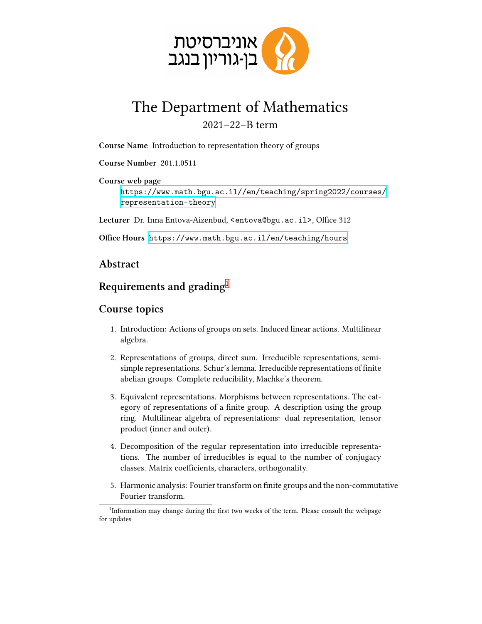

## The Department of Mathematics 2021–22–B term

**Course Name** Introduction to representation theory of groups

**Course Number** 201.1.0511

**Course web page** [https://www.math.bgu.ac.il//en/teaching/spring2022/courses/](https://www.math.bgu.ac.il//en/teaching/spring2022/courses/representation-theory) [representation-theory](https://www.math.bgu.ac.il//en/teaching/spring2022/courses/representation-theory)

**Lecturer** Dr. Inna Entova-Aizenbud, <entova@bgu.ac.il>, Office 312

**Office Hours** <https://www.math.bgu.ac.il/en/teaching/hours>

## **Abstract**

## **Requirements and grading**[1](#page-0-0)

## **Course topics**

- 1. Introduction: Actions of groups on sets. Induced linear actions. Multilinear algebra.
- 2. Representations of groups, direct sum. Irreducible representations, semisimple representations. Schur's lemma. Irreducible representations of finite abelian groups. Complete reducibility, Machke's theorem.
- 3. Equivalent representations. Morphisms between representations. The category of representations of a finite group. A description using the group ring. Multilinear algebra of representations: dual representation, tensor product (inner and outer).
- 4. Decomposition of the regular representation into irreducible representations. The number of irreducibles is equal to the number of conjugacy classes. Matrix coefficients, characters, orthogonality.
- 5. Harmonic analysis: Fourier transform on finite groups and the non-commutative Fourier transform.

<span id="page-0-0"></span><sup>&</sup>lt;sup>1</sup>Information may change during the first two weeks of the term. Please consult the webpage for updates